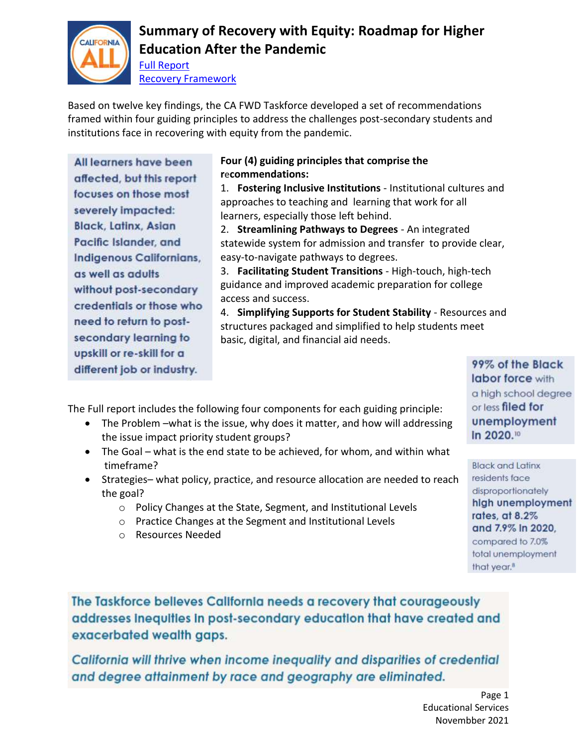

# **Summary of Recovery with Equity: Roadmap for Higher Education After the Pandemic**

[Full Report](https://cafwd.app.box.com/s/emo4tqgc3bli1sguhk35cjsnmsow1g67) [Recovery Framework](https://cafwd.app.box.com/s/zr0pypd7kzsyllldhkwpsuo0y4jg6o9o)

Based on twelve key findings, the CA FWD Taskforce developed a set of recommendations framed within four guiding principles to address the challenges post-secondary students and institutions face in recovering with equity from the pandemic.

All learners have been affected, but this report focuses on those most severely impacted: **Black, Latinx, Asian** Pacific Islander, and Indigenous Californians, as well as adults without post-secondary credentials or those who need to return to postsecondary learning to upskill or re-skill for a different job or industry.

### **Four (4) guiding principles that comprise the r**e**commendations:**

1. **Fostering Inclusive Institutions** - Institutional cultures and approaches to teaching and learning that work for all learners, especially those left behind.

2. **Streamlining Pathways to Degrees** - An integrated statewide system for admission and transfer to provide clear, easy-to-navigate pathways to degrees.

3. **Facilitating Student Transitions** - High-touch, high-tech guidance and improved academic preparation for college access and success.

4. **Simplifying Supports for Student Stability** - Resources and structures packaged and simplified to help students meet basic, digital, and financial aid needs.

The Full report includes the following four components for each guiding principle:

- The Problem –what is the issue, why does it matter, and how will addressing the issue impact priority student groups?
- The Goal what is the end state to be achieved, for whom, and within what timeframe?
- Strategies– what policy, practice, and resource allocation are needed to reach the goal?
	- o Policy Changes at the State, Segment, and Institutional Levels
	- o Practice Changes at the Segment and Institutional Levels
	- o Resources Needed

labor force with a high school degree or less filed for unemployment In 2020.10

99% of the Black

**Black and Latinx** residents face disproportionately high unemployment rates, at 8.2% and 7.9% in 2020, compared to 7.0% total unemployment that year.<sup>8</sup>

The Taskforce believes California needs a recovery that courageously addresses inequities in post-secondary education that have created and exacerbated wealth gaps.

California will thrive when income inequality and disparities of credential and degree attainment by race and geography are eliminated.

> Page 1 Educational Services Novembber 2021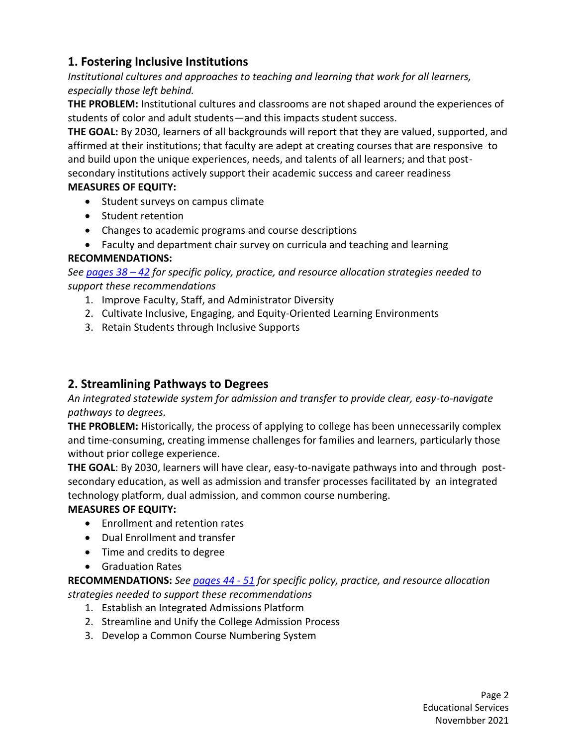## **1. Fostering Inclusive Institutions**

*Institutional cultures and approaches to teaching and learning that work for all learners, especially those left behind.* 

**THE PROBLEM:** Institutional cultures and classrooms are not shaped around the experiences of students of color and adult students—and this impacts student success.

**THE GOAL:** By 2030, learners of all backgrounds will report that they are valued, supported, and affirmed at their institutions; that faculty are adept at creating courses that are responsive to and build upon the unique experiences, needs, and talents of all learners; and that postsecondary institutions actively support their academic success and career readiness **MEASURES OF EQUITY:** 

- Student surveys on campus climate
- Student retention
- Changes to academic programs and course descriptions
- Faculty and department chair survey on curricula and teaching and learning

### **RECOMMENDATIONS:**

*See [pages](https://cafwd.app.box.com/s/emo4tqgc3bli1sguhk35cjsnmsow1g67) 38 – 42 for specific policy, practice, and resource allocation strategies needed to support these recommendations*

- 1. Improve Faculty, Staff, and Administrator Diversity
- 2. Cultivate Inclusive, Engaging, and Equity-Oriented Learning Environments
- 3. Retain Students through Inclusive Supports

## **2. Streamlining Pathways to Degrees**

*An integrated statewide system for admission and transfer to provide clear, easy-to-navigate pathways to degrees.* 

**THE PROBLEM:** Historically, the process of applying to college has been unnecessarily complex and time-consuming, creating immense challenges for families and learners, particularly those without prior college experience.

**THE GOAL**: By 2030, learners will have clear, easy-to-navigate pathways into and through postsecondary education, as well as admission and transfer processes facilitated by an integrated technology platform, dual admission, and common course numbering.

### **MEASURES OF EQUITY:**

- Enrollment and retention rates
- Dual Enrollment and transfer
- Time and credits to degree
- **•** Graduation Rates

**RECOMMENDATIONS:** *See [pages](https://cafwd.app.box.com/s/emo4tqgc3bli1sguhk35cjsnmsow1g67) 44 - 51 for specific policy, practice, and resource allocation strategies needed to support these recommendations*

- 1. Establish an Integrated Admissions Platform
- 2. Streamline and Unify the College Admission Process
- 3. Develop a Common Course Numbering System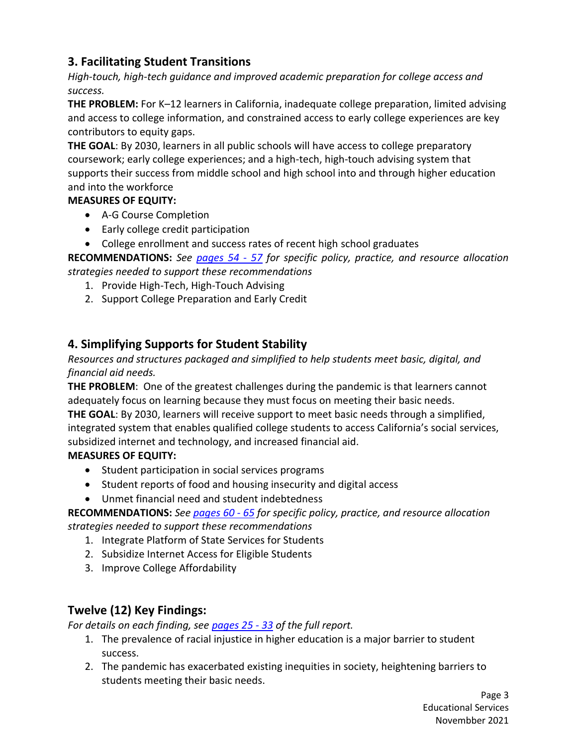## **3. Facilitating Student Transitions**

*High-touch, high-tech guidance and improved academic preparation for college access and success.*

**THE PROBLEM:** For K–12 learners in California, inadequate college preparation, limited advising and access to college information, and constrained access to early college experiences are key contributors to equity gaps.

**THE GOAL**: By 2030, learners in all public schools will have access to college preparatory coursework; early college experiences; and a high-tech, high-touch advising system that supports their success from middle school and high school into and through higher education and into the workforce

#### **MEASURES OF EQUITY:**

- A-G Course Completion
- Early college credit participation
- College enrollment and success rates of recent high school graduates

**RECOMMENDATIONS:** *See [pages](https://cafwd.app.box.com/s/emo4tqgc3bli1sguhk35cjsnmsow1g67) 54 - 57 for specific policy, practice, and resource allocation strategies needed to support these recommendations*

- 1. Provide High-Tech, High-Touch Advising
- 2. Support College Preparation and Early Credit

## **4. Simplifying Supports for Student Stability**

*Resources and structures packaged and simplified to help students meet basic, digital, and financial aid needs.*

**THE PROBLEM**: One of the greatest challenges during the pandemic is that learners cannot adequately focus on learning because they must focus on meeting their basic needs.

**THE GOAL**: By 2030, learners will receive support to meet basic needs through a simplified, integrated system that enables qualified college students to access California's social services, subsidized internet and technology, and increased financial aid.

#### **MEASURES OF EQUITY:**

- Student participation in social services programs
- Student reports of food and housing insecurity and digital access
- Unmet financial need and student indebtedness

**RECOMMENDATIONS:** *See [pages](https://cafwd.app.box.com/s/emo4tqgc3bli1sguhk35cjsnmsow1g67) 60 - 65 for specific policy, practice, and resource allocation strategies needed to support these recommendations*

- 1. Integrate Platform of State Services for Students
- 2. Subsidize Internet Access for Eligible Students
- 3. Improve College Affordability

## **Twelve (12) Key Findings:**

*For details on each finding, se[e pages 25 -](https://cafwd.app.box.com/s/emo4tqgc3bli1sguhk35cjsnmsow1g67) 33 of the full report.* 

- 1. The prevalence of racial injustice in higher education is a major barrier to student success.
- 2. The pandemic has exacerbated existing inequities in society, heightening barriers to students meeting their basic needs.